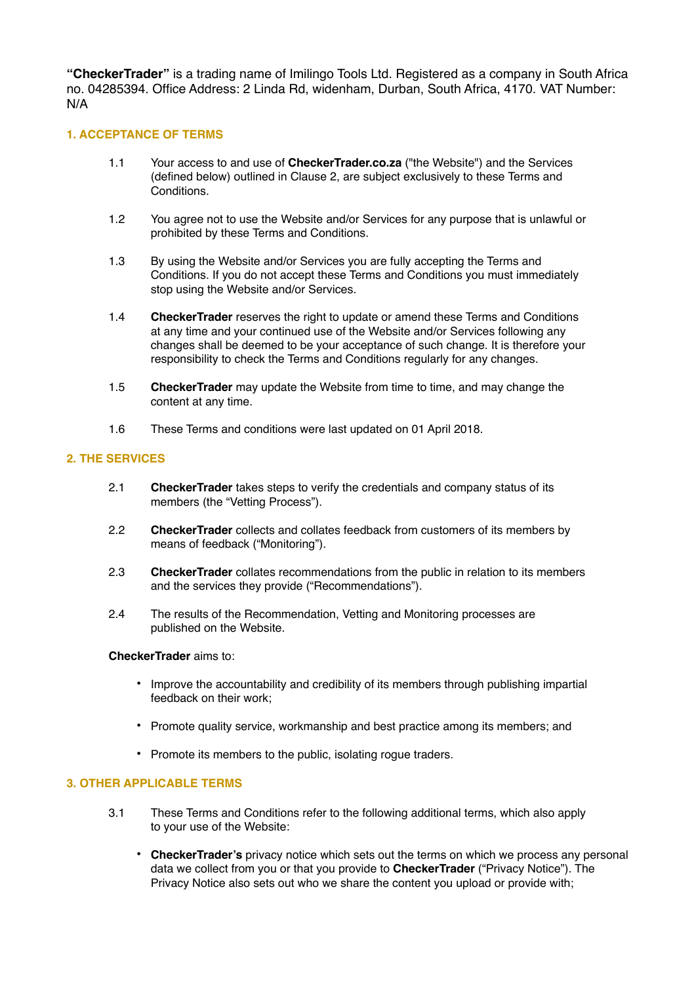**"CheckerTrader"** is a trading name of Imilingo Tools Ltd. Registered as a company in South Africa no. 04285394. Office Address: 2 Linda Rd, widenham, Durban, South Africa, 4170. VAT Number: N/A

## **1. ACCEPTANCE OF TERMS**

- 1.1 Your access to and use of **CheckerTrader.co.za** ("the Website") and the Services (defined below) outlined in Clause 2, are subject exclusively to these Terms and Conditions.
- 1.2 You agree not to use the Website and/or Services for any purpose that is unlawful or prohibited by these Terms and Conditions.
- 1.3 By using the Website and/or Services you are fully accepting the Terms and Conditions. If you do not accept these Terms and Conditions you must immediately stop using the Website and/or Services.
- 1.4 **CheckerTrader** reserves the right to update or amend these Terms and Conditions at any time and your continued use of the Website and/or Services following any changes shall be deemed to be your acceptance of such change. It is therefore your responsibility to check the Terms and Conditions regularly for any changes.
- 1.5 **CheckerTrader** may update the Website from time to time, and may change the content at any time.
- 1.6 These Terms and conditions were last updated on 01 April 2018.

# **2. THE SERVICES**

- 2.1 **CheckerTrader** takes steps to verify the credentials and company status of its members (the "Vetting Process").
- 2.2 **CheckerTrader** collects and collates feedback from customers of its members by means of feedback ("Monitoring").
- 2.3 **CheckerTrader** collates recommendations from the public in relation to its members and the services they provide ("Recommendations").
- 2.4 The results of the Recommendation, Vetting and Monitoring processes are published on the Website.

#### **CheckerTrader** aims to:

- Improve the accountability and credibility of its members through publishing impartial feedback on their work;
- Promote quality service, workmanship and best practice among its members; and
- Promote its members to the public, isolating rogue traders.

#### **3. OTHER APPLICABLE TERMS**

- 3.1 These Terms and Conditions refer to the following additional terms, which also apply to your use of the Website:
	- **CheckerTrader's** privacy notice which sets out the terms on which we process any personal data we collect from you or that you provide to **CheckerTrader** ("Privacy Notice"). The Privacy Notice also sets out who we share the content you upload or provide with;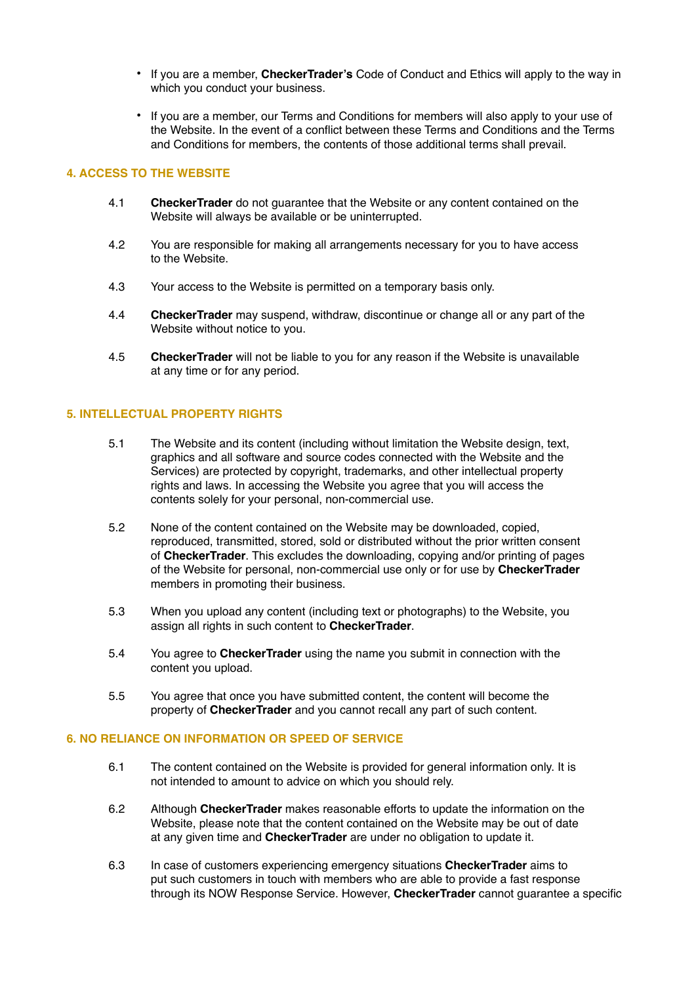- If you are a member, **CheckerTrader's** Code of Conduct and Ethics will apply to the way in which you conduct your business.
- If you are a member, our Terms and Conditions for members will also apply to your use of the Website. In the event of a conflict between these Terms and Conditions and the Terms and Conditions for members, the contents of those additional terms shall prevail.

## **4. ACCESS TO THE WEBSITE**

- 4.1 **CheckerTrader** do not guarantee that the Website or any content contained on the Website will always be available or be uninterrupted.
- 4.2 You are responsible for making all arrangements necessary for you to have access to the Website.
- 4.3 Your access to the Website is permitted on a temporary basis only.
- 4.4 **CheckerTrader** may suspend, withdraw, discontinue or change all or any part of the Website without notice to you.
- 4.5 **CheckerTrader** will not be liable to you for any reason if the Website is unavailable at any time or for any period.

## **5. INTELLECTUAL PROPERTY RIGHTS**

- 5.1 The Website and its content (including without limitation the Website design, text, graphics and all software and source codes connected with the Website and the Services) are protected by copyright, trademarks, and other intellectual property rights and laws. In accessing the Website you agree that you will access the contents solely for your personal, non-commercial use.
- 5.2 None of the content contained on the Website may be downloaded, copied, reproduced, transmitted, stored, sold or distributed without the prior written consent of **CheckerTrader**. This excludes the downloading, copying and/or printing of pages of the Website for personal, non-commercial use only or for use by **CheckerTrader** members in promoting their business.
- 5.3 When you upload any content (including text or photographs) to the Website, you assign all rights in such content to **CheckerTrader**.
- 5.4 You agree to **CheckerTrader** using the name you submit in connection with the content you upload.
- 5.5 You agree that once you have submitted content, the content will become the property of **CheckerTrader** and you cannot recall any part of such content.

## **6. NO RELIANCE ON INFORMATION OR SPEED OF SERVICE**

- 6.1 The content contained on the Website is provided for general information only. It is not intended to amount to advice on which you should rely.
- 6.2 Although **CheckerTrader** makes reasonable efforts to update the information on the Website, please note that the content contained on the Website may be out of date at any given time and **CheckerTrader** are under no obligation to update it.
- 6.3 In case of customers experiencing emergency situations **CheckerTrader** aims to put such customers in touch with members who are able to provide a fast response through its NOW Response Service. However, **CheckerTrader** cannot guarantee a specific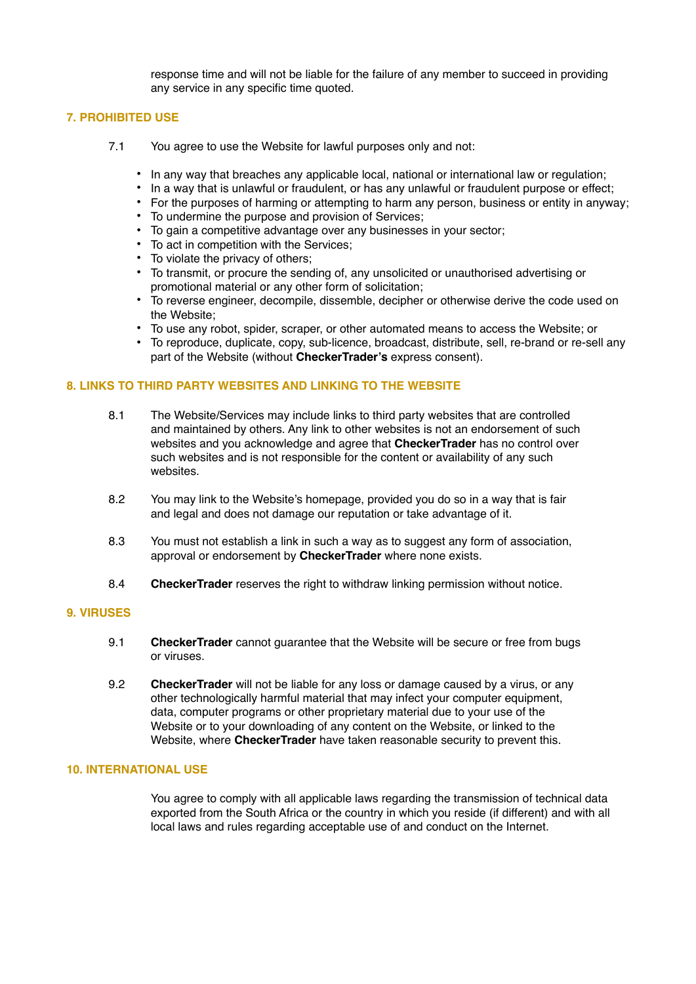response time and will not be liable for the failure of any member to succeed in providing any service in any specific time quoted.

# **7. PROHIBITED USE**

- 7.1 You agree to use the Website for lawful purposes only and not:
	- In any way that breaches any applicable local, national or international law or regulation;
	- In a way that is unlawful or fraudulent, or has any unlawful or fraudulent purpose or effect;
	- For the purposes of harming or attempting to harm any person, business or entity in anyway;
	- To undermine the purpose and provision of Services;
	- To gain a competitive advantage over any businesses in your sector;
	- To act in competition with the Services;
	- To violate the privacy of others;
	- To transmit, or procure the sending of, any unsolicited or unauthorised advertising or promotional material or any other form of solicitation;
	- To reverse engineer, decompile, dissemble, decipher or otherwise derive the code used on the Website;
	- To use any robot, spider, scraper, or other automated means to access the Website; or
	- To reproduce, duplicate, copy, sub-licence, broadcast, distribute, sell, re-brand or re-sell any part of the Website (without **CheckerTrader's** express consent).

## **8. LINKS TO THIRD PARTY WEBSITES AND LINKING TO THE WEBSITE**

- 8.1 The Website/Services may include links to third party websites that are controlled and maintained by others. Any link to other websites is not an endorsement of such websites and you acknowledge and agree that **CheckerTrader** has no control over such websites and is not responsible for the content or availability of any such websites.
- 8.2 You may link to the Website's homepage, provided you do so in a way that is fair and legal and does not damage our reputation or take advantage of it.
- 8.3 You must not establish a link in such a way as to suggest any form of association, approval or endorsement by **CheckerTrader** where none exists.
- 8.4 **CheckerTrader** reserves the right to withdraw linking permission without notice.

### **9. VIRUSES**

- 9.1 **CheckerTrader** cannot guarantee that the Website will be secure or free from bugs or viruses.
- 9.2 **CheckerTrader** will not be liable for any loss or damage caused by a virus, or any other technologically harmful material that may infect your computer equipment, data, computer programs or other proprietary material due to your use of the Website or to your downloading of any content on the Website, or linked to the Website, where **CheckerTrader** have taken reasonable security to prevent this.

## **10. INTERNATIONAL USE**

You agree to comply with all applicable laws regarding the transmission of technical data exported from the South Africa or the country in which you reside (if different) and with all local laws and rules regarding acceptable use of and conduct on the Internet.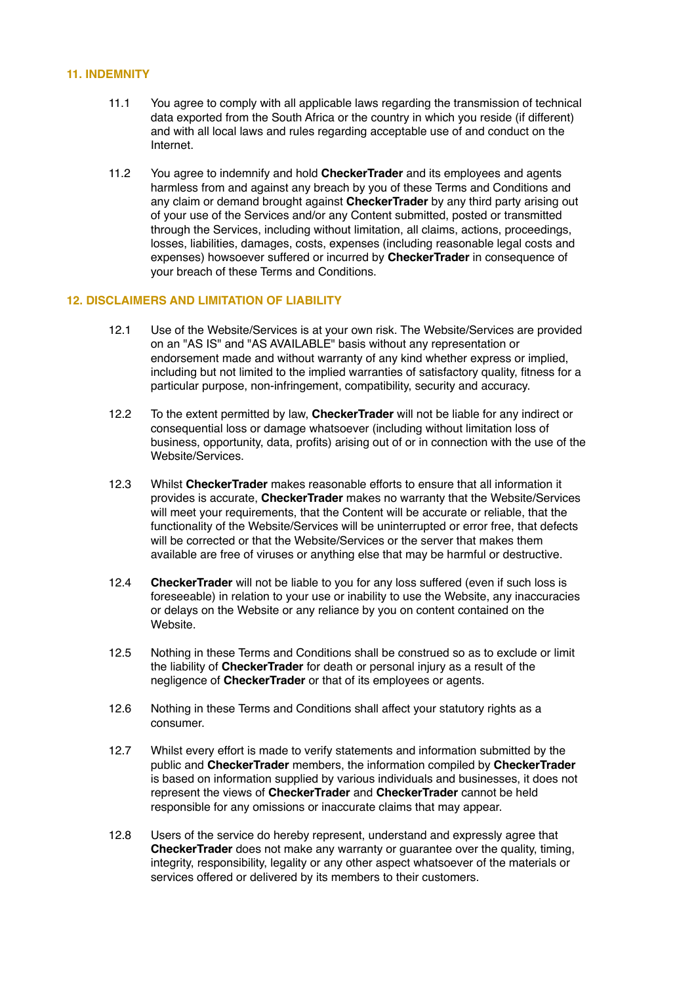#### **11. INDEMNITY**

- 11.1 You agree to comply with all applicable laws regarding the transmission of technical data exported from the South Africa or the country in which you reside (if different) and with all local laws and rules regarding acceptable use of and conduct on the Internet.
- 11.2 You agree to indemnify and hold **CheckerTrader** and its employees and agents harmless from and against any breach by you of these Terms and Conditions and any claim or demand brought against **CheckerTrader** by any third party arising out of your use of the Services and/or any Content submitted, posted or transmitted through the Services, including without limitation, all claims, actions, proceedings, losses, liabilities, damages, costs, expenses (including reasonable legal costs and expenses) howsoever suffered or incurred by **CheckerTrader** in consequence of your breach of these Terms and Conditions.

# **12. DISCLAIMERS AND LIMITATION OF LIABILITY**

- 12.1 Use of the Website/Services is at your own risk. The Website/Services are provided on an "AS IS" and "AS AVAILABLE" basis without any representation or endorsement made and without warranty of any kind whether express or implied, including but not limited to the implied warranties of satisfactory quality, fitness for a particular purpose, non-infringement, compatibility, security and accuracy.
- 12.2 To the extent permitted by law, **CheckerTrader** will not be liable for any indirect or consequential loss or damage whatsoever (including without limitation loss of business, opportunity, data, profits) arising out of or in connection with the use of the Website/Services.
- 12.3 Whilst **CheckerTrader** makes reasonable efforts to ensure that all information it provides is accurate, **CheckerTrader** makes no warranty that the Website/Services will meet your requirements, that the Content will be accurate or reliable, that the functionality of the Website/Services will be uninterrupted or error free, that defects will be corrected or that the Website/Services or the server that makes them available are free of viruses or anything else that may be harmful or destructive.
- 12.4 **CheckerTrader** will not be liable to you for any loss suffered (even if such loss is foreseeable) in relation to your use or inability to use the Website, any inaccuracies or delays on the Website or any reliance by you on content contained on the Website.
- 12.5 Nothing in these Terms and Conditions shall be construed so as to exclude or limit the liability of **CheckerTrader** for death or personal injury as a result of the negligence of **CheckerTrader** or that of its employees or agents.
- 12.6 Nothing in these Terms and Conditions shall affect your statutory rights as a consumer.
- 12.7 Whilst every effort is made to verify statements and information submitted by the public and **CheckerTrader** members, the information compiled by **CheckerTrader** is based on information supplied by various individuals and businesses, it does not represent the views of **CheckerTrader** and **CheckerTrader** cannot be held responsible for any omissions or inaccurate claims that may appear.
- 12.8 Users of the service do hereby represent, understand and expressly agree that **CheckerTrader** does not make any warranty or guarantee over the quality, timing, integrity, responsibility, legality or any other aspect whatsoever of the materials or services offered or delivered by its members to their customers.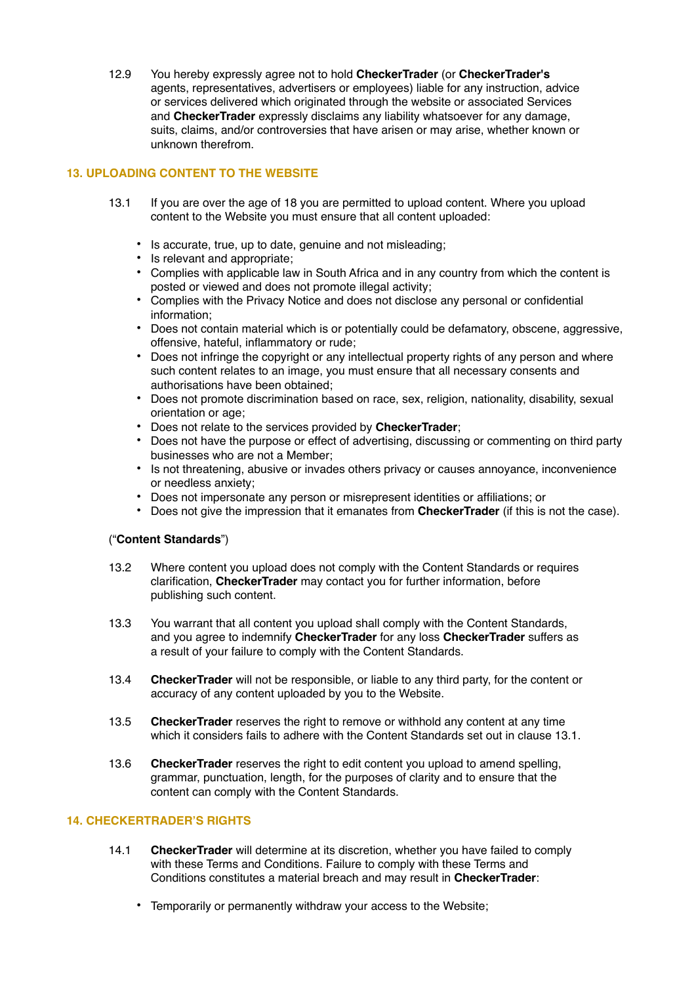12.9 You hereby expressly agree not to hold **CheckerTrader** (or **CheckerTrader's** agents, representatives, advertisers or employees) liable for any instruction, advice or services delivered which originated through the website or associated Services and **CheckerTrader** expressly disclaims any liability whatsoever for any damage, suits, claims, and/or controversies that have arisen or may arise, whether known or unknown therefrom.

# **13. UPLOADING CONTENT TO THE WEBSITE**

- 13.1 If you are over the age of 18 you are permitted to upload content. Where you upload content to the Website you must ensure that all content uploaded:
	- Is accurate, true, up to date, genuine and not misleading;
	- Is relevant and appropriate;
	- Complies with applicable law in South Africa and in any country from which the content is posted or viewed and does not promote illegal activity;
	- Complies with the Privacy Notice and does not disclose any personal or confidential information;
	- Does not contain material which is or potentially could be defamatory, obscene, aggressive, offensive, hateful, inflammatory or rude;
	- Does not infringe the copyright or any intellectual property rights of any person and where such content relates to an image, you must ensure that all necessary consents and authorisations have been obtained;
	- Does not promote discrimination based on race, sex, religion, nationality, disability, sexual orientation or age;
	- Does not relate to the services provided by **CheckerTrader**;
	- Does not have the purpose or effect of advertising, discussing or commenting on third party businesses who are not a Member;
	- Is not threatening, abusive or invades others privacy or causes annoyance, inconvenience or needless anxiety;
	- Does not impersonate any person or misrepresent identities or affiliations; or
	- Does not give the impression that it emanates from **CheckerTrader** (if this is not the case).

## ("**Content Standards**")

- 13.2 Where content you upload does not comply with the Content Standards or requires clarification, **CheckerTrader** may contact you for further information, before publishing such content.
- 13.3 You warrant that all content you upload shall comply with the Content Standards, and you agree to indemnify **CheckerTrader** for any loss **CheckerTrader** suffers as a result of your failure to comply with the Content Standards.
- 13.4 **CheckerTrader** will not be responsible, or liable to any third party, for the content or accuracy of any content uploaded by you to the Website.
- 13.5 **CheckerTrader** reserves the right to remove or withhold any content at any time which it considers fails to adhere with the Content Standards set out in clause 13.1.
- 13.6 **CheckerTrader** reserves the right to edit content you upload to amend spelling, grammar, punctuation, length, for the purposes of clarity and to ensure that the content can comply with the Content Standards.

# **14. CHECKERTRADER'S RIGHTS**

- 14.1 **CheckerTrader** will determine at its discretion, whether you have failed to comply with these Terms and Conditions. Failure to comply with these Terms and Conditions constitutes a material breach and may result in **CheckerTrader**:
	- Temporarily or permanently withdraw your access to the Website;